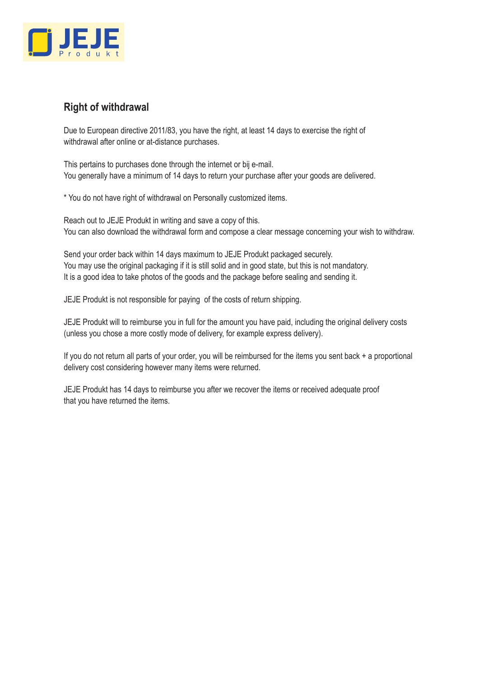

## **Right of withdrawal**

Due to European directive 2011/83, you have the right, at least 14 days to exercise the right of withdrawal after online or at-distance purchases.

This pertains to purchases done through the internet or bij e-mail. You generally have a minimum of 14 days to return your purchase after your goods are delivered.

\* You do not have right of withdrawal on Personally customized items.

Reach out to JEJE Produkt in writing and save a copy of this. You can also download the withdrawal form and compose a clear message concerning your wish to withdraw.

Send your order back within 14 days maximum to JEJE Produkt packaged securely. You may use the original packaging if it is still solid and in good state, but this is not mandatory. It is a good idea to take photos of the goods and the package before sealing and sending it.

JEJE Produkt is not responsible for paying of the costs of return shipping.

JEJE Produkt will to reimburse you in full for the amount you have paid, including the original delivery costs (unless you chose a more costly mode of delivery, for example express delivery).

If you do not return all parts of your order, you will be reimbursed for the items you sent back + a proportional delivery cost considering however many items were returned.

JEJE Produkt has 14 days to reimburse you after we recover the items or received adequate proof that you have returned the items.